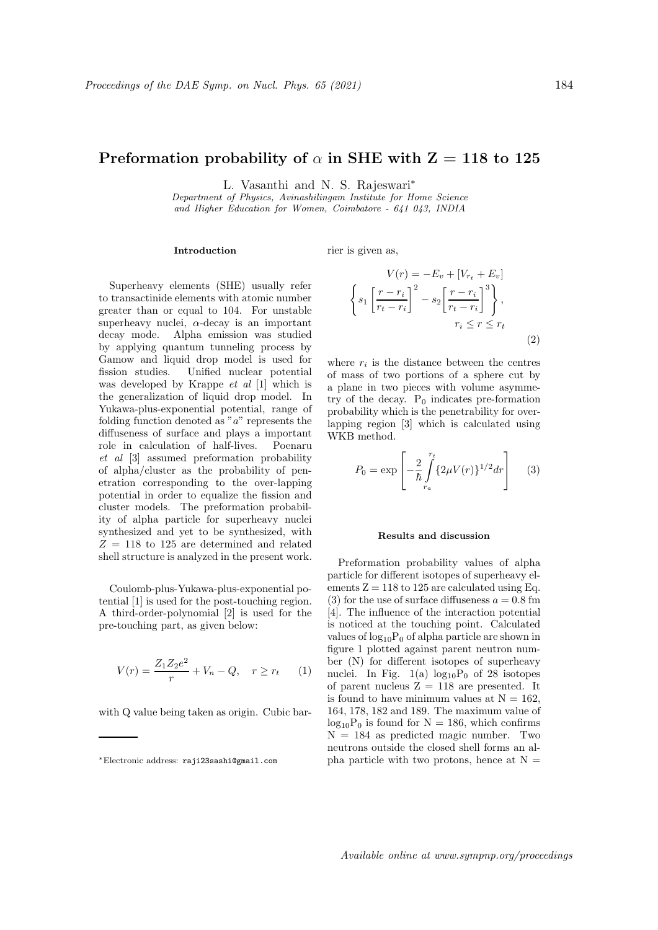## Preformation probability of  $\alpha$  in SHE with  $Z = 118$  to 125

L. Vasanthi and N. S. Rajeswari<sup>∗</sup>

Department of Physics, Avinashilingam Institute for Home Science and Higher Education for Women, Coimbatore - 641 043, INDIA

## Introduction

rier is given as,

Superheavy elements (SHE) usually refer to transactinide elements with atomic number greater than or equal to 104. For unstable superheavy nuclei,  $\alpha$ -decay is an important decay mode. Alpha emission was studied by applying quantum tunneling process by Gamow and liquid drop model is used for fission studies. Unified nuclear potential was developed by Krappe et al [1] which is the generalization of liquid drop model. In Yukawa-plus-exponential potential, range of folding function denoted as " $a$ " represents the diffuseness of surface and plays a important role in calculation of half-lives. Poenaru et al [3] assumed preformation probability of alpha/cluster as the probability of penetration corresponding to the over-lapping potential in order to equalize the fission and cluster models. The preformation probability of alpha particle for superheavy nuclei synthesized and yet to be synthesized, with  $Z = 118$  to 125 are determined and related shell structure is analyzed in the present work.

Coulomb-plus-Yukawa-plus-exponential potential [1] is used for the post-touching region. A third-order-polynomial [2] is used for the pre-touching part, as given below:

$$
V(r) = \frac{Z_1 Z_2 e^2}{r} + V_n - Q, \quad r \ge r_t \tag{1}
$$

with Q value being taken as origin. Cubic bar-

$$
V(r) = -E_v + [V_{r_t} + E_v]
$$

$$
\left\{ s_1 \left[ \frac{r - r_i}{r_t - r_i} \right]^2 - s_2 \left[ \frac{r - r_i}{r_t - r_i} \right]^3 \right\},\
$$

$$
r_i \le r \le r_t
$$

$$
(2)
$$

where  $r_i$  is the distance between the centres of mass of two portions of a sphere cut by a plane in two pieces with volume asymmetry of the decay.  $P_0$  indicates pre-formation probability which is the penetrability for overlapping region [3] which is calculated using WKB method.

$$
P_0 = \exp\left[-\frac{2}{\hbar} \int_{r_a}^{r_t} \{2\mu V(r)\}^{1/2} dr\right] \tag{3}
$$

## Results and discussion

Preformation probability values of alpha particle for different isotopes of superheavy elements  $Z = 118$  to 125 are calculated using Eq. (3) for the use of surface diffuseness  $a = 0.8$  fm [4]. The influence of the interaction potential is noticed at the touching point. Calculated values of  $log_{10}P_0$  of alpha particle are shown in figure 1 plotted against parent neutron number (N) for different isotopes of superheavy nuclei. In Fig. 1(a)  $log_{10}P_0$  of 28 isotopes of parent nucleus  $Z = 118$  are presented. It is found to have minimum values at  $N = 162$ , 164, 178, 182 and 189. The maximum value of  $log_{10}P_0$  is found for  $N = 186$ , which confirms  $N = 184$  as predicted magic number. Two neutrons outside the closed shell forms an alpha particle with two protons, hence at  $N =$ 

<sup>∗</sup>Electronic address: raji23sashi@gmail.com